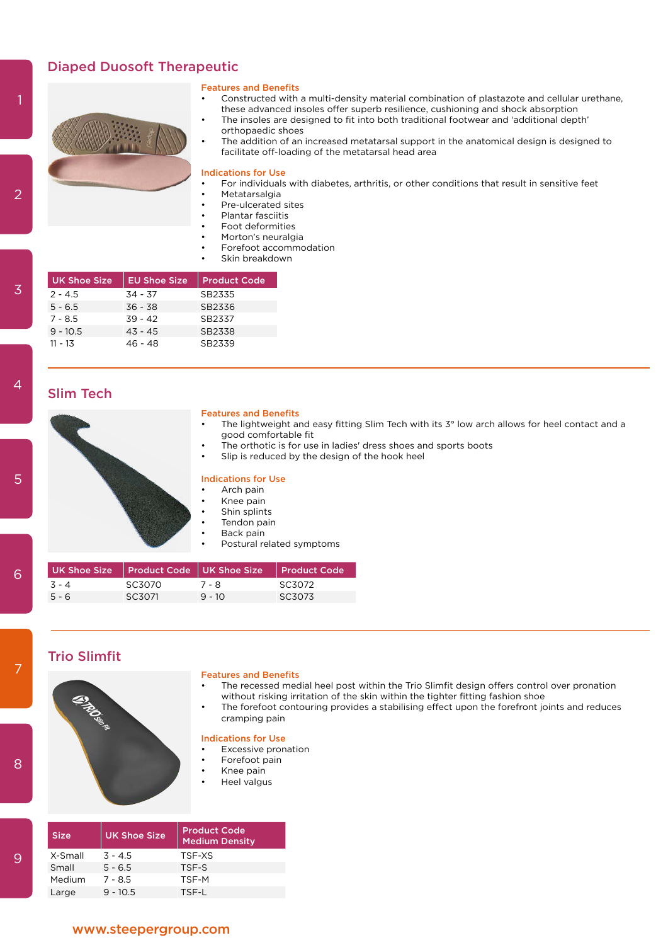# Diaped Duosoft Therapeutic



### Features and Benefits

- Constructed with a multi-density material combination of plastazote and cellular urethane, these advanced insoles offer superb resilience, cushioning and shock absorption
- The insoles are designed to fit into both traditional footwear and 'additional depth' orthopaedic shoes
- The addition of an increased metatarsal support in the anatomical design is designed to facilitate off-loading of the metatarsal head area

### Indications for Use

- For individuals with diabetes, arthritis, or other conditions that result in sensitive feet
- Metatarsalgia
- Pre-ulcerated sites
- Plantar fasciitis
- Foot deformities
- Morton's neuralgia
- Forefoot accommodation
- Skin breakdown

| <b>UK Shoe Size</b> | <b>EU Shoe Size</b> | <b>Product Code</b> |
|---------------------|---------------------|---------------------|
| $2 - 4.5$           | $34 - 37$           | SB2335              |
| $5 - 6.5$           | $36 - 38$           | SB2336              |
| $7 - 8.5$           | $39 - 42$           | SB2337              |
| $9 - 10.5$          | $43 - 45$           | SB2338              |
| $11 - 13$           | 46 - 48             | SB2339              |

# Slim Tech



# Features and Benefits

- The lightweight and easy fitting Slim Tech with its 3° low arch allows for heel contact and a good comfortable fit
- The orthotic is for use in ladies' dress shoes and sports boots
- Slip is reduced by the design of the hook heel

### Indications for Use

- Arch pain
- Knee pain
- Shin splints
- Tendon pain Back pain
- 
- Postural related symptoms

|         |        | UK Shoe Size Product Code UK Shoe Size Product Code |        |
|---------|--------|-----------------------------------------------------|--------|
| $3 - 4$ | SC3070 | 7 - 8                                               | SC3072 |
| $5 - 6$ | SC3071 | $9 - 10$                                            | SC3073 |

# Trio Slimfit

# త్మ

# Features and Benefits

- The recessed medial heel post within the Trio Slimfit design offers control over pronation without risking irritation of the skin within the tighter fitting fashion shoe
- The forefoot contouring provides a stabilising effect upon the forefront joints and reduces cramping pain

### Indications for Use

- **Excessive pronation**
- Forefoot pain
- Knee pain
- Heel valgus

| <b>Size</b> | <b>UK Shoe Size</b> | <b>Product Code</b><br><b>Medium Density</b> |
|-------------|---------------------|----------------------------------------------|
| X-Small     | $3 - 4.5$           | TSE-XS                                       |
| Small       | $5 - 6.5$           | TSE-S                                        |
| Medium      | $7 - 8.5$           | TSF-M                                        |
| Large       | $9 - 10.5$          | TSE-L                                        |

### www.steepergroup.com

 $\overline{2}$ 

4

9

8

7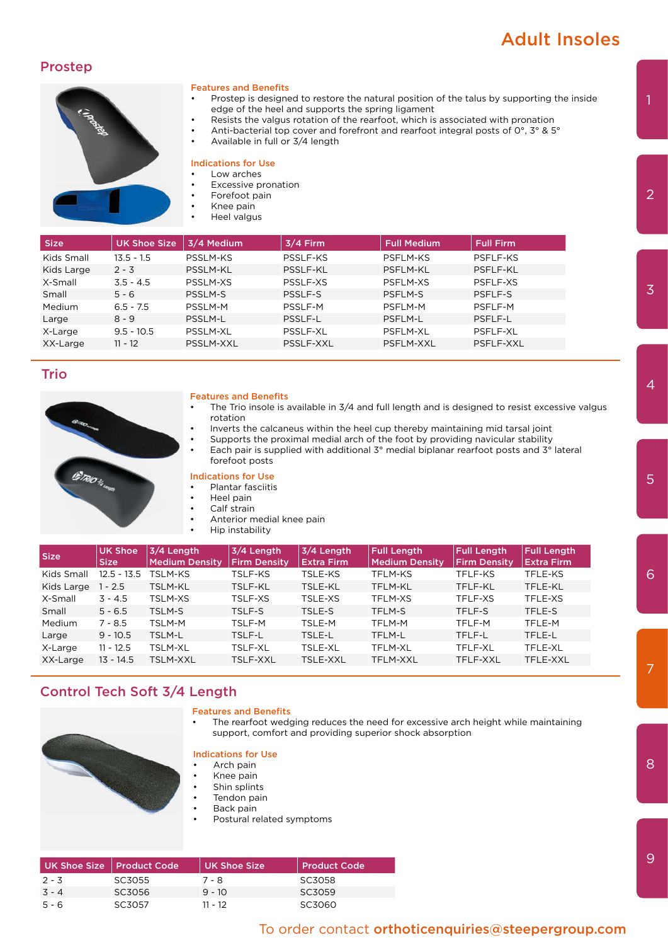# Adult Insoles

# Prostep



### Features and Benefits

- Prostep is designed to restore the natural position of the talus by supporting the inside edge of the heel and supports the spring ligament
- Resists the valgus rotation of the rearfoot, which is associated with pronation
- Anti-bacterial top cover and forefront and rearfoot integral posts of 0°, 3° & 5°
- Available in full or 3/4 length

### Indications for Use

# Low arches

- **Excessive pronation**
- Forefoot pain
- Knee pain
- Heel valgus

| <b>Size</b> | <b>UK Shoe Size</b> | 3/4 Medium      | $3/4$ Firm      | <b>Full Medium</b> | <b>Full Firm</b> |
|-------------|---------------------|-----------------|-----------------|--------------------|------------------|
| Kids Small  | $13.5 - 1.5$        | <b>PSSLM-KS</b> | PSSLF-KS        | <b>PSFLM-KS</b>    | PSFLF-KS         |
| Kids Large  | $2 - 3$             | <b>PSSLM-KL</b> | <b>PSSLF-KL</b> | PSFLM-KL           | PSFLF-KL         |
| X-Small     | $3.5 - 4.5$         | PSSLM-XS        | PSSLF-XS        | PSFLM-XS           | PSFLF-XS         |
| Small       | $5 - 6$             | <b>PSSLM-S</b>  | PSSLF-S         | <b>PSFLM-S</b>     | PSFLF-S          |
| Medium      | $6.5 - 7.5$         | PSSLM-M         | PSSLF-M         | PSFLM-M            | PSFLF-M          |
| Large       | $8 - 9$             | PSSLM-L         | PSSLF-L         | PSFLM-L            | PSFLF-L          |
| X-Large     | $9.5 - 10.5$        | PSSLM-XL        | PSSLF-XL        | PSFLM-XL           | PSFLF-XL         |
| XX-Large    | $11 - 12$           | PSSLM-XXL       | PSSLF-XXL       | PSFLM-XXL          | PSFLF-XXL        |

# Trio



### Features and Benefits

- The Trio insole is available in 3/4 and full length and is designed to resist excessive valgus rotation
	- Inverts the calcaneus within the heel cup thereby maintaining mid tarsal joint
- Supports the proximal medial arch of the foot by providing navicular stability
- Each pair is supplied with additional  $3^\circ$  medial biplanar rearfoot posts and  $3^\circ$  lateral forefoot posts

# Indications for Use

# • Plantar fasciitis

- Heel pain
- Calf strain
- Anterior medial knee pain
	- Hip instability

| <b>Size</b> | <b>UK Shoe</b><br>Size | 3/4 Length<br><b>Medium Density</b> | 3/4 Length<br><b>Firm Density</b> | 3/4 Length<br><b>Extra Firm</b> | <b>Full Length</b><br><b>Medium Density</b> | <b>Full Length</b><br><b>Firm Density</b> | <b>Full Length</b><br><b>Extra Firm</b> |
|-------------|------------------------|-------------------------------------|-----------------------------------|---------------------------------|---------------------------------------------|-------------------------------------------|-----------------------------------------|
| Kids Small  | $12.5 - 13.5$          | TSLM-KS                             | TSLF-KS                           | TSLE-KS                         | TFLM-KS                                     | TFLF-KS                                   | TFLE-KS                                 |
| Kids Large  | $1 - 2.5$              | TSLM-KL                             | TSLF-KL                           | TSLE-KL                         | TFLM-KL                                     | TFLF-KL                                   | TFLE-KL                                 |
| X-Small     | $3 - 4.5$              | TSLM-XS                             | TSLF-XS                           | TSLE-XS                         | <b>TFLM-XS</b>                              | TFLF-XS                                   | TFLE-XS                                 |
| Small       | $5 - 6.5$              | TSLM-S                              | TSLF-S                            | TSLE-S                          | TFLM-S                                      | TFLF-S                                    | TFLE-S                                  |
| Medium      | 7 - 8.5                | TSLM-M                              | TSLF-M                            | TSLE-M                          | TFLM-M                                      | TFLF-M                                    | TFLE-M                                  |
| Large       | $9 - 10.5$             | TSLM-L                              | TSLF-L                            | TSLE-L                          | TFLM-L                                      | TFLF-L                                    | TFLE-L                                  |
| X-Large     | $11 - 12.5$            | <b>TSLM-XL</b>                      | TSLF-XL                           | TSLE-XL                         | TFLM-XL                                     | TFLF-XL                                   | TFLE-XL                                 |
| XX-Large    | $13 - 14.5$            | <b>TSLM-XXL</b>                     | TSLF-XXL                          | <b>TSLE-XXL</b>                 | TFLM-XXL                                    | TFLF-XXL                                  | TFLE-XXL                                |

# Control Tech Soft 3/4 Length

### Features and Benefits

The rearfoot wedging reduces the need for excessive arch height while maintaining support, comfort and providing superior shock absorption



# Indications for Use

- Arch pain • Knee pain
- Shin splints
- Tendon pain
- Back pain
- Postural related symptoms

| UK Shoe Size   Product Code |        | UK Shoe Size | Product Code |
|-----------------------------|--------|--------------|--------------|
| $2 - 3$                     | SC3055 | 7 - 8        | SC3058       |
| $3 - 4$                     | SC3056 | $9 - 10$     | SC3059       |
| $5 - 6$                     | SC3057 | 11 - 12      | SC3060       |

# To order contact orthoticenquiries@steepergroup.com

2

7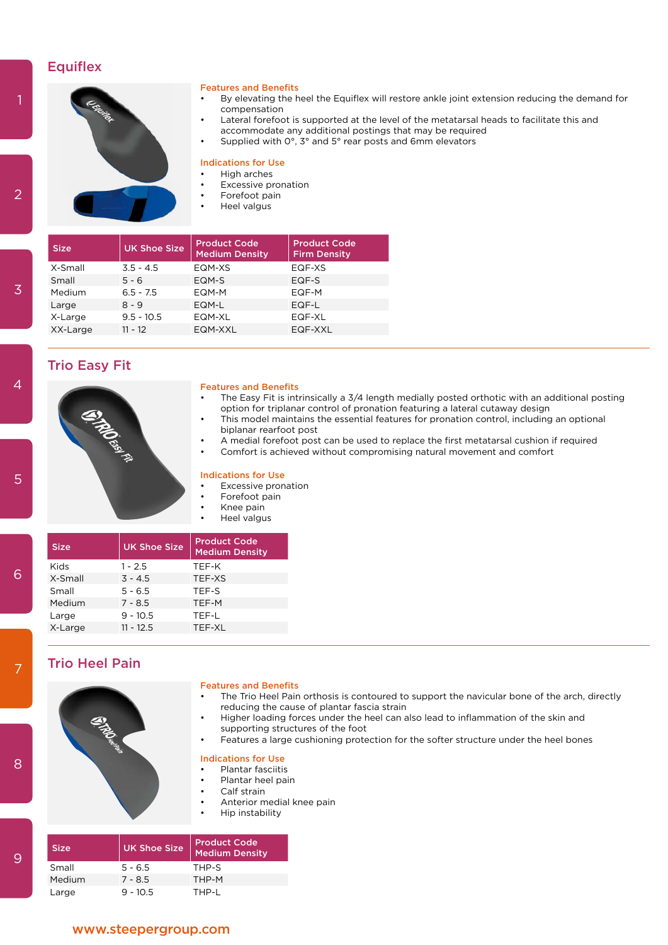# **Equiflex**



### Features and Benefits

- By elevating the heel the Equiflex will restore ankle joint extension reducing the demand for compensation
- Lateral forefoot is supported at the level of the metatarsal heads to facilitate this and accommodate any additional postings that may be required
- Supplied with 0°, 3° and 5° rear posts and 6mm elevators

### Indications for Use

- High arches
- **Excessive pronation**
- Forefoot pain
- Heel valgus

| <b>Size</b> | <b>UK Shoe Size</b> | <b>Product Code</b><br><b>Medium Density</b> | <b>Product Code</b><br><b>Firm Density</b> |
|-------------|---------------------|----------------------------------------------|--------------------------------------------|
| X-Small     | $3.5 - 4.5$         | EQM-XS                                       | EQF-XS                                     |
| Small       | $5 - 6$             | EQM-S                                        | EQF-S                                      |
| Medium      | $6.5 - 7.5$         | FOM-M                                        | EQF-M                                      |
| Large       | $8 - 9$             | EQM-L                                        | $EQF-L$                                    |
| X-Large     | $9.5 - 10.5$        | EQM-XL                                       | EQF-XL                                     |
| XX-Large    | $11 - 12$           | EQM-XXL                                      | EQF-XXL                                    |

# Trio Easy Fit



# Features and Benefits

- The Easy Fit is intrinsically a 3/4 length medially posted orthotic with an additional posting option for triplanar control of pronation featuring a lateral cutaway design
- This model maintains the essential features for pronation control, including an optional biplanar rearfoot post
- A medial forefoot post can be used to replace the first metatarsal cushion if required
- Comfort is achieved without compromising natural movement and comfort

### Indications for Use

- Excessive pronation
- Forefoot pain
- Knee pain
- Heel valgus

| <b>UK Shoe Size</b> | <b>Product Code</b><br><b>Medium Density</b> |
|---------------------|----------------------------------------------|
| $1 - 2.5$           | TEF-K                                        |
| $3 - 4.5$           | TEF-XS                                       |
| $5 - 6.5$           | TEF-S                                        |
| $7 - 8.5$           | TEF-M                                        |
| $9 - 10.5$          | TEE-L                                        |
| $11 - 12.5$         | TEF-XL                                       |
|                     |                                              |

# Trio Heel Pain



### Features and Benefits

- The Trio Heel Pain orthosis is contoured to support the navicular bone of the arch, directly reducing the cause of plantar fascia strain
- Higher loading forces under the heel can also lead to inflammation of the skin and supporting structures of the foot
- Features a large cushioning protection for the softer structure under the heel bones

### Indications for Use

- Plantar fasciitis
- Plantar heel pain
- Calf strain
- Anterior medial knee pain
- Hip instability

| <b>Size</b> | <b>UK Shoe Size</b> | Product Code<br><b>Medium Density</b> |
|-------------|---------------------|---------------------------------------|
| Small       | $5 - 6.5$           | THP-S                                 |
| Medium      | $7 - 8.5$           | THP-M                                 |
| Large       | $9 - 10.5$          | THP-I                                 |

 $\overline{2}$ 

4

8

7